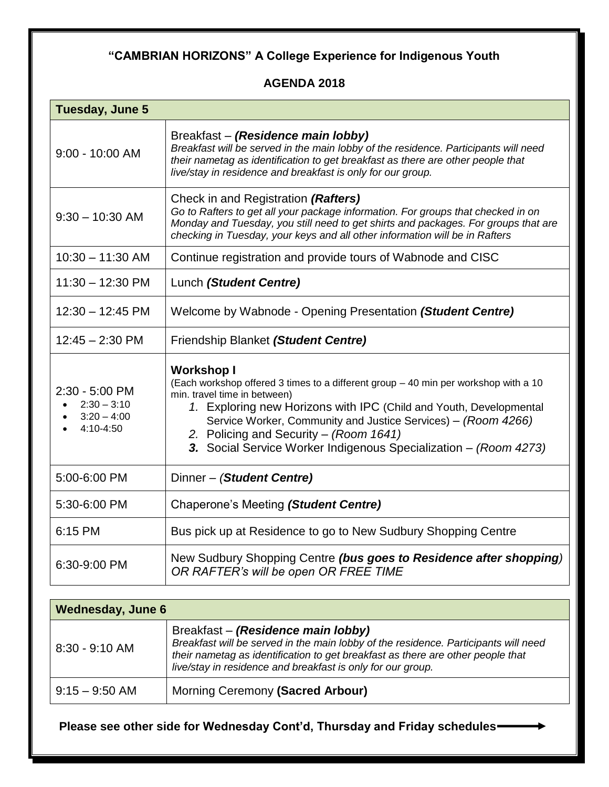## **"CAMBRIAN HORIZONS" A College Experience for Indigenous Youth**

## **AGENDA 2018**

| <b>Tuesday, June 5</b>                                        |                                                                                                                                                                                                                                                                                                                                                                                               |  |
|---------------------------------------------------------------|-----------------------------------------------------------------------------------------------------------------------------------------------------------------------------------------------------------------------------------------------------------------------------------------------------------------------------------------------------------------------------------------------|--|
| $9:00 - 10:00$ AM                                             | Breakfast - (Residence main lobby)<br>Breakfast will be served in the main lobby of the residence. Participants will need<br>their nametag as identification to get breakfast as there are other people that<br>live/stay in residence and breakfast is only for our group.                                                                                                                   |  |
| $9:30 - 10:30$ AM                                             | Check in and Registration (Rafters)<br>Go to Rafters to get all your package information. For groups that checked in on<br>Monday and Tuesday, you still need to get shirts and packages. For groups that are<br>checking in Tuesday, your keys and all other information will be in Rafters                                                                                                  |  |
| $10:30 - 11:30$ AM                                            | Continue registration and provide tours of Wabnode and CISC                                                                                                                                                                                                                                                                                                                                   |  |
| $11:30 - 12:30$ PM                                            | Lunch (Student Centre)                                                                                                                                                                                                                                                                                                                                                                        |  |
| $12:30 - 12:45 \text{ PM}$                                    | Welcome by Wabnode - Opening Presentation (Student Centre)                                                                                                                                                                                                                                                                                                                                    |  |
| $12:45 - 2:30$ PM                                             | Friendship Blanket (Student Centre)                                                                                                                                                                                                                                                                                                                                                           |  |
| 2:30 - 5:00 PM<br>$2:30 - 3:10$<br>$3:20 - 4:00$<br>4:10-4:50 | <b>Workshop I</b><br>(Each workshop offered 3 times to a different group - 40 min per workshop with a 10<br>min. travel time in between)<br>1. Exploring new Horizons with IPC (Child and Youth, Developmental<br>Service Worker, Community and Justice Services) - (Room 4266)<br>2. Policing and Security - (Room 1641)<br>3. Social Service Worker Indigenous Specialization - (Room 4273) |  |
| 5:00-6:00 PM                                                  | Dinner - (Student Centre)                                                                                                                                                                                                                                                                                                                                                                     |  |
| 5:30-6:00 PM                                                  | Chaperone's Meeting (Student Centre)                                                                                                                                                                                                                                                                                                                                                          |  |
| 6:15 PM                                                       | Bus pick up at Residence to go to New Sudbury Shopping Centre                                                                                                                                                                                                                                                                                                                                 |  |
| 6:30-9:00 PM                                                  | New Sudbury Shopping Centre (bus goes to Residence after shopping)<br>OR RAFTER's will be open OR FREE TIME                                                                                                                                                                                                                                                                                   |  |
|                                                               |                                                                                                                                                                                                                                                                                                                                                                                               |  |

| <b>Wednesday, June 6</b> |                                                                                                                                                                                                                                                                             |  |
|--------------------------|-----------------------------------------------------------------------------------------------------------------------------------------------------------------------------------------------------------------------------------------------------------------------------|--|
| $8:30 - 9:10$ AM         | Breakfast - (Residence main lobby)<br>Breakfast will be served in the main lobby of the residence. Participants will need<br>their nametag as identification to get breakfast as there are other people that<br>live/stay in residence and breakfast is only for our group. |  |
| $9:15 - 9:50$ AM         | Morning Ceremony (Sacred Arbour)                                                                                                                                                                                                                                            |  |

 **Please see other side for Wednesday Cont'd, Thursday and Friday schedules**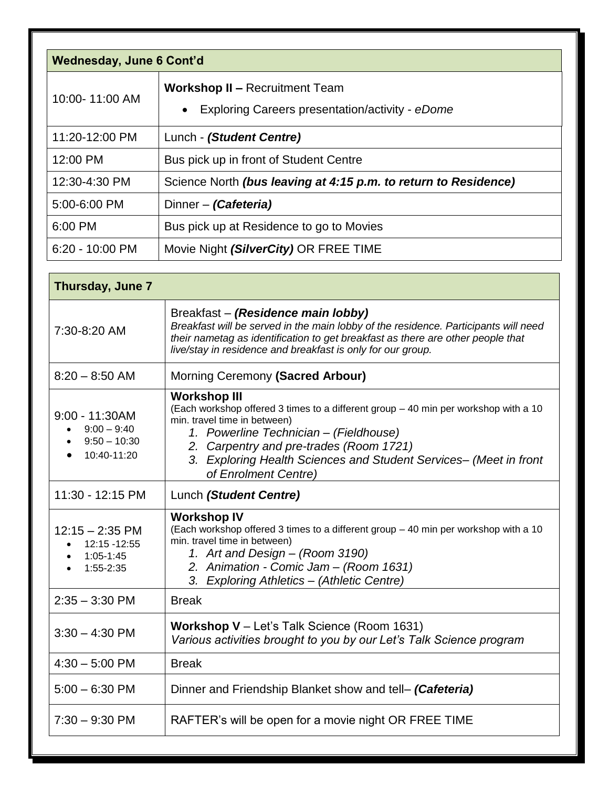| <b>Wednesday, June 6 Cont'd</b> |                                                                                          |  |
|---------------------------------|------------------------------------------------------------------------------------------|--|
| 10:00-11:00 AM                  | <b>Workshop II - Recruitment Team</b><br>Exploring Careers presentation/activity - eDome |  |
| 11:20-12:00 PM                  | Lunch - (Student Centre)                                                                 |  |
| 12:00 PM                        | Bus pick up in front of Student Centre                                                   |  |
| 12:30-4:30 PM                   | Science North (bus leaving at 4:15 p.m. to return to Residence)                          |  |
| 5:00-6:00 PM                    | Dinner – (Cafeteria)                                                                     |  |
| 6:00 PM                         | Bus pick up at Residence to go to Movies                                                 |  |
| $6:20 - 10:00$ PM               | Movie Night (SilverCity) OR FREE TIME                                                    |  |

| Thursday, June 7                                                                                |                                                                                                                                                                                                                                                                                                                              |
|-------------------------------------------------------------------------------------------------|------------------------------------------------------------------------------------------------------------------------------------------------------------------------------------------------------------------------------------------------------------------------------------------------------------------------------|
| 7:30-8:20 AM                                                                                    | Breakfast – (Residence main lobby)<br>Breakfast will be served in the main lobby of the residence. Participants will need<br>their nametag as identification to get breakfast as there are other people that<br>live/stay in residence and breakfast is only for our group.                                                  |
| $8:20 - 8:50$ AM                                                                                | Morning Ceremony (Sacred Arbour)                                                                                                                                                                                                                                                                                             |
| $9:00 - 11:30AM$<br>$\bullet$ 9:00 - 9:40<br>$\bullet$ 9:50 - 10:30<br>10:40-11:20<br>$\bullet$ | <b>Workshop III</b><br>(Each workshop offered 3 times to a different group - 40 min per workshop with a 10<br>min. travel time in between)<br>1. Powerline Technician - (Fieldhouse)<br>2. Carpentry and pre-trades (Room 1721)<br>3. Exploring Health Sciences and Student Services- (Meet in front<br>of Enrolment Centre) |
| 11:30 - 12:15 PM                                                                                | Lunch (Student Centre)                                                                                                                                                                                                                                                                                                       |
| $12:15 - 2:35$ PM<br>12:15 - 12:55<br>$1:05 - 1:45$<br>1:55-2:35                                | <b>Workshop IV</b><br>(Each workshop offered 3 times to a different group - 40 min per workshop with a 10<br>min. travel time in between)<br>1. Art and Design - (Room 3190)<br>2. Animation - Comic Jam - (Room 1631)<br>3. Exploring Athletics - (Athletic Centre)                                                         |
| $2:35 - 3:30$ PM                                                                                | <b>Break</b>                                                                                                                                                                                                                                                                                                                 |
| $3:30 - 4:30$ PM                                                                                | <b>Workshop V</b> $-$ Let's Talk Science (Room 1631)<br>Various activities brought to you by our Let's Talk Science program                                                                                                                                                                                                  |
| $4:30 - 5:00$ PM                                                                                | <b>Break</b>                                                                                                                                                                                                                                                                                                                 |
| $5:00 - 6:30$ PM                                                                                | Dinner and Friendship Blanket show and tell- (Cafeteria)                                                                                                                                                                                                                                                                     |
| $7:30 - 9:30$ PM                                                                                | RAFTER's will be open for a movie night OR FREE TIME                                                                                                                                                                                                                                                                         |